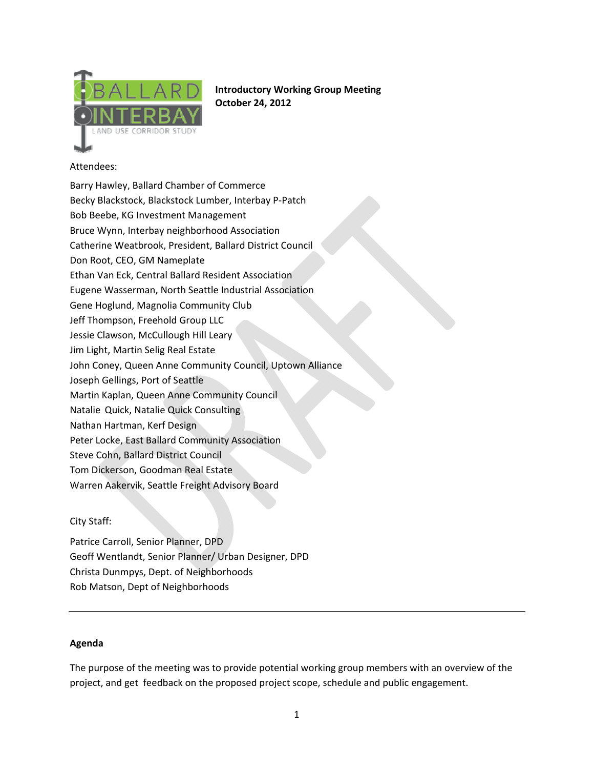

**Introductory Working Group Meeting October 24, 2012**

# Attendees:

Barry Hawley, Ballard Chamber of Commerce Becky Blackstock, Blackstock Lumber, Interbay P‐Patch Bob Beebe, KG Investment Management Bruce Wynn, Interbay neighborhood Association Catherine Weatbrook, President, Ballard District Council Don Root, CEO, GM Nameplate Ethan Van Eck, Central Ballard Resident Association Eugene Wasserman, North Seattle Industrial Association Gene Hoglund, Magnolia Community Club Jeff Thompson, Freehold Group LLC Jessie Clawson, McCullough Hill Leary Jim Light, Martin Selig Real Estate John Coney, Queen Anne Community Council, Uptown Alliance Joseph Gellings, Port of Seattle Martin Kaplan, Queen Anne Community Council Natalie Quick, Natalie Quick Consulting Nathan Hartman, Kerf Design Peter Locke, East Ballard Community Association Steve Cohn, Ballard District Council Tom Dickerson, Goodman Real Estate Warren Aakervik, Seattle Freight Advisory Board

# City Staff:

Patrice Carroll, Senior Planner, DPD Geoff Wentlandt, Senior Planner/ Urban Designer, DPD Christa Dunmpys, Dept. of Neighborhoods Rob Matson, Dept of Neighborhoods

### **Agenda**

The purpose of the meeting was to provide potential working group members with an overview of the project, and get feedback on the proposed project scope, schedule and public engagement.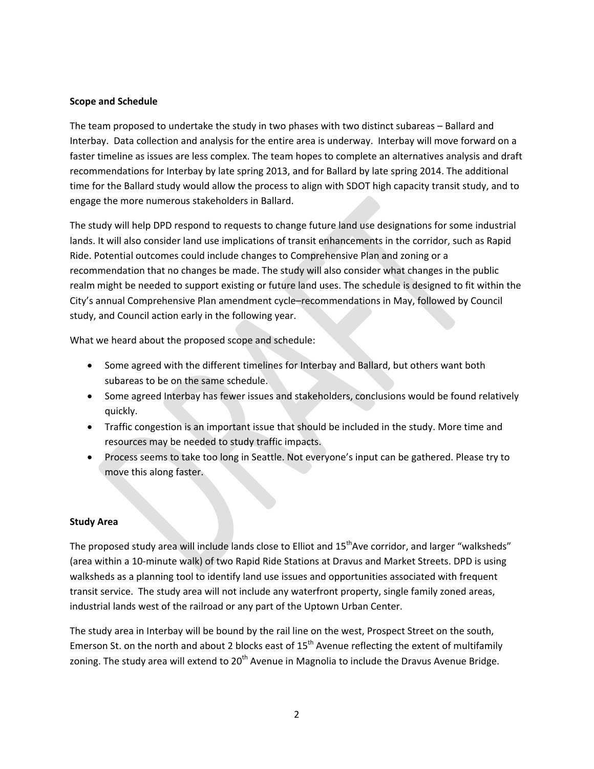#### **Scope and Schedule**

The team proposed to undertake the study in two phases with two distinct subareas – Ballard and Interbay. Data collection and analysis for the entire area is underway. Interbay will move forward on a faster timeline as issues are less complex. The team hopes to complete an alternatives analysis and draft recommendations for Interbay by late spring 2013, and for Ballard by late spring 2014. The additional time for the Ballard study would allow the process to align with SDOT high capacity transit study, and to engage the more numerous stakeholders in Ballard.

The study will help DPD respond to requests to change future land use designations for some industrial lands. It will also consider land use implications of transit enhancements in the corridor, such as Rapid Ride. Potential outcomes could include changes to Comprehensive Plan and zoning or a recommendation that no changes be made. The study will also consider what changes in the public realm might be needed to support existing or future land uses. The schedule is designed to fit within the City's annual Comprehensive Plan amendment cycle–recommendations in May, followed by Council study, and Council action early in the following year.

What we heard about the proposed scope and schedule:

- Some agreed with the different timelines for Interbay and Ballard, but others want both subareas to be on the same schedule.
- Some agreed Interbay has fewer issues and stakeholders, conclusions would be found relatively quickly.
- Traffic congestion is an important issue that should be included in the study. More time and resources may be needed to study traffic impacts.
- Process seems to take too long in Seattle. Not everyone's input can be gathered. Please try to move this along faster.

#### **Study Area**

The proposed study area will include lands close to Elliot and 15<sup>th</sup>Ave corridor, and larger "walksheds" (area within a 10‐minute walk) of two Rapid Ride Stations at Dravus and Market Streets. DPD is using walksheds as a planning tool to identify land use issues and opportunities associated with frequent transit service. The study area will not include any waterfront property, single family zoned areas, industrial lands west of the railroad or any part of the Uptown Urban Center.

The study area in Interbay will be bound by the rail line on the west, Prospect Street on the south, Emerson St. on the north and about 2 blocks east of  $15<sup>th</sup>$  Avenue reflecting the extent of multifamily zoning. The study area will extend to  $20<sup>th</sup>$  Avenue in Magnolia to include the Dravus Avenue Bridge.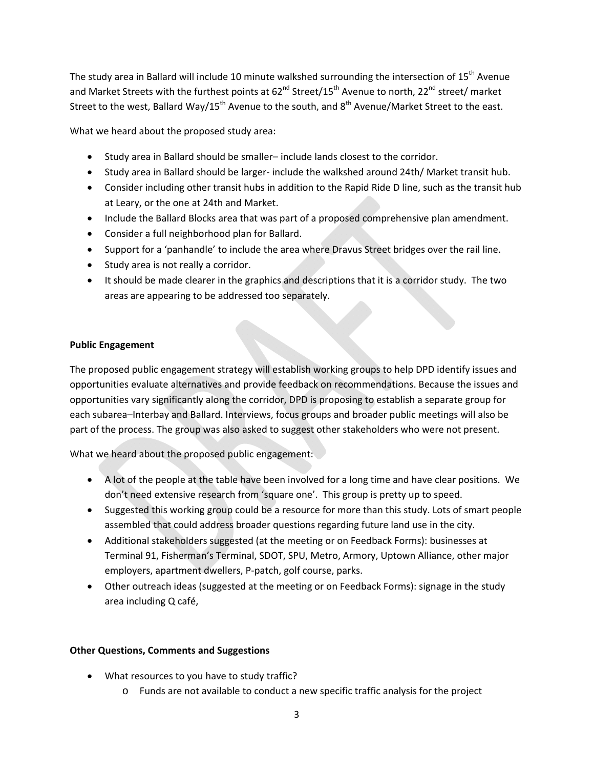The study area in Ballard will include 10 minute walkshed surrounding the intersection of  $15<sup>th</sup>$  Avenue and Market Streets with the furthest points at 62<sup>nd</sup> Street/15<sup>th</sup> Avenue to north, 22<sup>nd</sup> street/ market Street to the west, Ballard Way/15<sup>th</sup> Avenue to the south, and  $8<sup>th</sup>$  Avenue/Market Street to the east.

What we heard about the proposed study area:

- Study area in Ballard should be smaller– include lands closest to the corridor.
- Study area in Ballard should be larger- include the walkshed around 24th/ Market transit hub.
- Consider including other transit hubs in addition to the Rapid Ride D line, such as the transit hub at Leary, or the one at 24th and Market.
- Include the Ballard Blocks area that was part of a proposed comprehensive plan amendment.
- Consider a full neighborhood plan for Ballard.
- Support for a 'panhandle' to include the area where Dravus Street bridges over the rail line.
- Study area is not really a corridor.
- It should be made clearer in the graphics and descriptions that it is a corridor study. The two areas are appearing to be addressed too separately.

### **Public Engagement**

The proposed public engagement strategy will establish working groups to help DPD identify issues and opportunities evaluate alternatives and provide feedback on recommendations. Because the issues and opportunities vary significantly along the corridor, DPD is proposing to establish a separate group for each subarea–Interbay and Ballard. Interviews, focus groups and broader public meetings will also be part of the process. The group was also asked to suggest other stakeholders who were not present.

What we heard about the proposed public engagement:

- A lot of the people at the table have been involved for a long time and have clear positions. We don't need extensive research from 'square one'. This group is pretty up to speed.
- Suggested this working group could be a resource for more than this study. Lots of smart people assembled that could address broader questions regarding future land use in the city.
- Additional stakeholders suggested (at the meeting or on Feedback Forms): businesses at Terminal 91, Fisherman's Terminal, SDOT, SPU, Metro, Armory, Uptown Alliance, other major employers, apartment dwellers, P‐patch, golf course, parks.
- Other outreach ideas (suggested at the meeting or on Feedback Forms): signage in the study area including Q café,

### **Other Questions, Comments and Suggestions**

- What resources to you have to study traffic?
	- o Funds are not available to conduct a new specific traffic analysis for the project